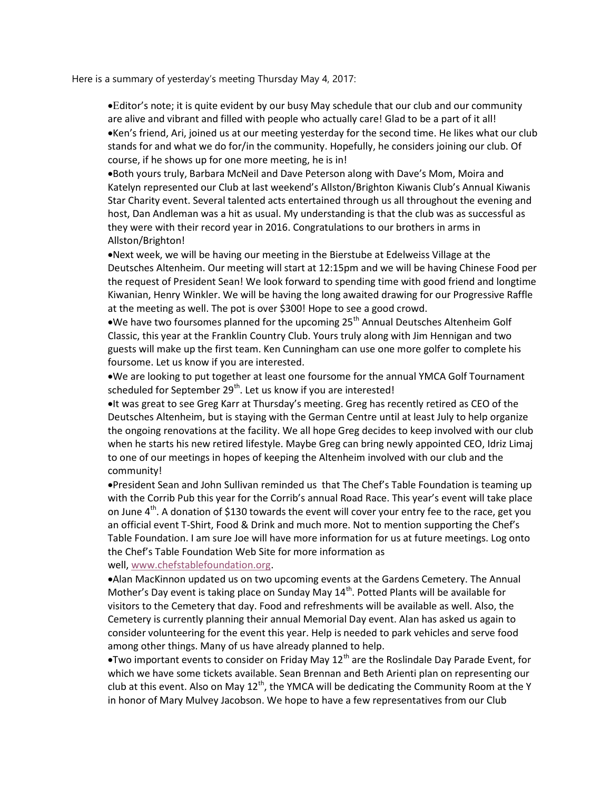Here is a summary of yesterday's meeting Thursday May 4, 2017:

• Editor's note; it is quite evident by our busy May schedule that our club and our community are alive and vibrant and filled with people who actually care! Glad to be a part of it all! . Ken's friend, Ari, joined us at our meeting yesterday for the second time. He likes what our club stands for and what we do for/in the community. Hopefully, he considers joining our club. Of course, if he shows up for one more meeting, he is in!

Both yours truly, Barbara McNeil and Dave Peterson along with Dave's Mom, Moira and Katelyn represented our Club at last weekend's Allston/Brighton Kiwanis Club's Annual Kiwanis Star Charity event. Several talented acts entertained through us all throughout the evening and host, Dan Andleman was a hit as usual. My understanding is that the club was as successful as they were with their record year in 2016. Congratulations to our brothers in arms in Allston/Brighton!

Next week, we will be having our meeting in the Bierstube at Edelweiss Village at the Deutsches Altenheim. Our meeting will start at 12:15pm and we will be having Chinese Food per the request of President Sean! We look forward to spending time with good friend and longtime Kiwanian, Henry Winkler. We will be having the long awaited drawing for our Progressive Raffle at the meeting as well. The pot is over \$300! Hope to see a good crowd.

 $\bullet$ We have two foursomes planned for the upcoming 25<sup>th</sup> Annual Deutsches Altenheim Golf Classic, this year at the Franklin Country Club. Yours truly along with Jim Hennigan and two guests will make up the first team. Ken Cunningham can use one more golfer to complete his foursome. Let us know if you are interested.

We are looking to put together at least one foursome for the annual YMCA Golf Tournament scheduled for September 29<sup>th</sup>. Let us know if you are interested!

It was great to see Greg Karr at Thursday's meeting. Greg has recently retired as CEO of the Deutsches Altenheim, but is staying with the German Centre until at least July to help organize the ongoing renovations at the facility. We all hope Greg decides to keep involved with our club when he starts his new retired lifestyle. Maybe Greg can bring newly appointed CEO, Idriz Limaj to one of our meetings in hopes of keeping the Altenheim involved with our club and the community!

President Sean and John Sullivan reminded us that The Chef's Table Foundation is teaming up with the Corrib Pub this year for the Corrib's annual Road Race. This year's event will take place on June  $4^{th}$ . A donation of \$130 towards the event will cover your entry fee to the race, get you an official event T-Shirt, Food & Drink and much more. Not to mention supporting the Chef's Table Foundation. I am sure Joe will have more information for us at future meetings. Log onto the Chef's Table Foundation Web Site for more information as

well, www.chefstablefoundation.org.

Alan MacKinnon updated us on two upcoming events at the Gardens Cemetery. The Annual Mother's Day event is taking place on Sunday May  $14<sup>th</sup>$ . Potted Plants will be available for visitors to the Cemetery that day. Food and refreshments will be available as well. Also, the Cemetery is currently planning their annual Memorial Day event. Alan has asked us again to consider volunteering for the event this year. Help is needed to park vehicles and serve food among other things. Many of us have already planned to help.

**•Two important events to consider on Friday May 12<sup>th</sup> are the Roslindale Day Parade Event, for** which we have some tickets available. Sean Brennan and Beth Arienti plan on representing our club at this event. Also on May  $12<sup>th</sup>$ , the YMCA will be dedicating the Community Room at the Y in honor of Mary Mulvey Jacobson. We hope to have a few representatives from our Club